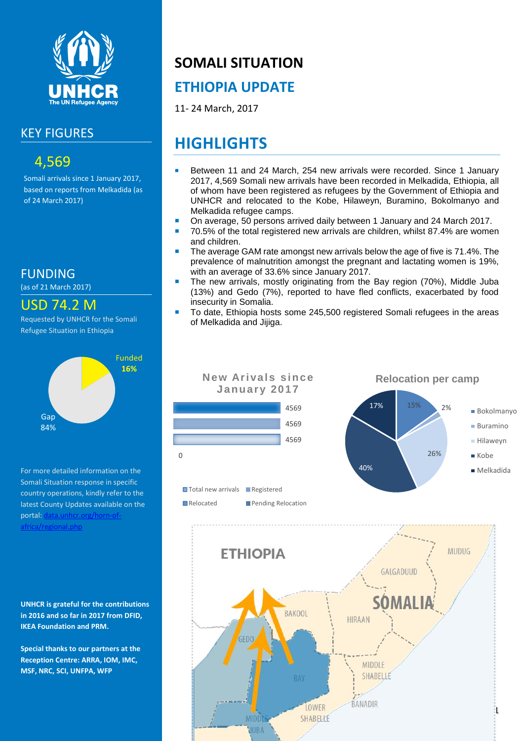

#### KEY FIGURES

### 4,569

Somali arrivals since 1 January 2017, based on reports from Melkadida (as of 24 March 2017)

FUNDING

(as of 21 March 2017)

#### USD 74.2 M

Requested by UNHCR for the Somali Refugee Situation in Ethiopia



For more detailed information on the Somali Situation response in specific country operations, kindly refer to the latest County Updates available on the portal: data.unhcr.org/horn-of [africa/regional.php](http://data.unhcr.org/SouthSudan/regional.php)

**UNHCR is grateful for the contributions in 2016 and so far in 2017 from DFID, IKEA Foundation and PRM.**

**Special thanks to our partners at the Reception Centre: ARRA, IOM, IMC, MSF, NRC, SCI, UNFPA, WFP**

# **SOMALI SITUATION**

## **ETHIOPIA UPDATE**

11- 24 March, 2017

# **HIGHLIGHTS**

- Between 11 and 24 March, 254 new arrivals were recorded. Since 1 January 2017, 4,569 Somali new arrivals have been recorded in Melkadida, Ethiopia, all of whom have been registered as refugees by the Government of Ethiopia and UNHCR and relocated to the Kobe, Hilaweyn, Buramino, Bokolmanyo and Melkadida refugee camps.
- On average, 50 persons arrived daily between 1 January and 24 March 2017.
- 70.5% of the total registered new arrivals are children, whilst 87.4% are women and children.
- The average GAM rate amongst new arrivals below the age of five is 71.4%. The prevalence of malnutrition amongst the pregnant and lactating women is 19%, with an average of 33.6% since January 2017.
- The new arrivals, mostly originating from the Bay region (70%), Middle Juba (13%) and Gedo (7%), reported to have fled conflicts, exacerbated by food insecurity in Somalia.
- To date, Ethiopia hosts some 245,500 registered Somali refugees in the areas of Melkadida and Jijiga.